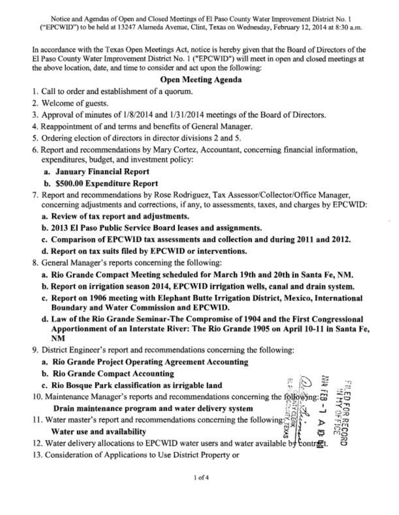Notice and Agendas of Open and Closed Meetings of El Paso County Water Improvement District No. 1 ("EPCWID") to be held at 13247 Alameda Avenue, Clint, Texas on Wednesday, February 12,2014 at 8:30 a.m.

In accordance with the Texas Open Meetings Act, notice is hereby given that the Board of Directors of the El Paso County Water Improvement District No. 1 ("EPCWID") will meet in open and closed meetings at the above location, date, and time to consider and act upon the following:

# Open Meeting Agenda

- 1. Call to order and establishment of a quorum.
- 2. Welcome of guests.
- **3.** Approval of minutes of 1/8/2014 and 113 1/20 14 meetings of the Board of Directors.
- 4. Reappointment of and terms and benefits of General Manager,
- 5. Ordering election of directors in director divisions 2 and *5.*
- 6. Report and recommendations by Mary Cortez, Accountant, concerning financial information, expenditures, budget, and investment policy:
	- a. January Financial Report
	- b. \$500.00 Expenditure Report
- 7. Report and recommendations by Rose Rodriguez, Tax Assessor/Collector/Office Manager, concerning adjustments and corrections, if any, to assessments, taxes, and charges by EPCWID:
	- a. Review of tax report and adjustments.
	- b. 2013 El Paso Public Service Board leases and assignments.
	- c. Comparison of EPCWID tax assessments and collection and during 2011 and 2012.
	- d. Report on tax suits filed by EPCWID or interventions.
- 8. General Manager's reports concerning the following:
	- a. Rio Grande Compact Meeting scheduled for March 19th and 20th in Santa Pe, NM.
	- b. Report on irrigation season 2014, EPCWID irrigation wells, canal and drain system.
	- c. Report on 1906 meeting with Elephant Butte Irrigation District, Mexico, International Boundary and Water Commission and EPCWID.
	- d. Law of the Rio Grande Seminar-The Compromise of 1904 and the First Congressional Apportionment of an Interstate River: The Rio Grande 1905 on April 10-11 in Santa Fe, NM
- 9. District Engineer's report and recommendations concerning the following:
	- a. Rio Grande Project Operating Agreement Accounting
	- **b. Rio Grande Compact Accounting**
	- c. Rio Bosque Park classification as irrigable land **<sup>l</sup><sup>v</sup>**
- 10. Maintenance Manager's reports and recommendations concerning the following:

Drain maintenance program and water delivery system

- 11. Water master's report and recommendations concerning the following: Water use and availability 11. Water master's report and recommendations concerning the tollowing:<br>Water use and availability<br>12. Water delivery allocations to EPCWID water users and water available by contr
- 
- 13. Consideration of Applications to Use District Property or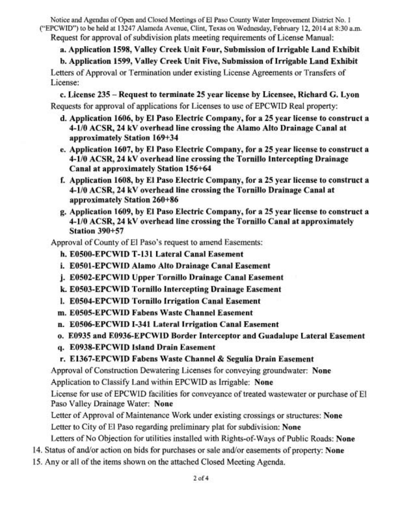Notice and Agendas of Open and Closed Meetings of El Paso County Water Improvement District No. 1 ("EPCWID) to be held at 13247 Alameda Avenue, Clint, Texas on Wednesday, February 12,2014 at 8:30 a.m. Request for approval of subdivision plats meeting requirements of License Manual:

a. Application 1598, Valley Creek Unit Four, Submission of Irrigable Land Exhibit

b. Application 1599, Valley Creek Unit Five, Submission of Irrigable Land Exhibit

Letters of Approval or Termination under existing License Agreements or Transfers of License:

c. License 235 - Request to terminate 25 year license by Licensee, Richard G. Lyon Requests for approval of applications for Licenses to use of EPCWID Real property:

- d. Application 1606, by El Paso Electric Company, for a 25 year license to construct a 4-110 ACSR, 24 kV overhead line crossing the Alamo Alto Drainage Canal at approximately Station 169+34
- e. Application 1607, by El Paso Electric Company, for a 25 year license to construct a 4-110 ACSR, 24 kV overhead line crossing the Tornillo Intercepting Drainage Canal at approximately Station 156+64
- f. Application 1608, by El Paso Electric Company, for a 25 year license to construct a 4-110 ACSR, 24 kV overhead line crossing the Tornillo Drainage Canal at approximately Station 260+86
- g. Application 1609, by El Paso Electric Company, for a 25 year license to construct a 4-110 ACSR, 24 kV overhead line crossing the Tornillo Canal at approximately Station 390+57

Approval of County of El Paso's request to amend Easements:

- h. E0500-EPCWID T-131 Lateral Canal Easement
- i. E0501-EPCWID Alamo Alto Drainage Canal Easement
- **j.** E0502-EPCWID Upper Tornillo Drainage Canal Easement
- k. E0503-EPCWID Tornillo Intercepting Drainage Easement
- 1. E0504-EPCWID Tornillo Irrigation Canal Easement
- m. EO505-EPCWID Fabens Waste Channel Easement
- n. E0506-EPCWID I-341 Lateral Irrigation Canal Easement
- o. E0935 and E0936-EPCWID Border Interceptor and Guadalupe Lateral Easement
- q. E0938-EPCWID Island Drain Easement
- r. E1367-EPCWID Fabens Waste Channel & Segulia Drain Easement

Approval of Construction Dewatering Licenses for conveying groundwater: None

Application to Classify Land within EPCWID as Irrigable: None

License for use of EPCWID facilities for conveyance of treated wastewater or purchase of El Paso Valley Drainage Water: None

Letter of Approval of Maintenance Work under existing crossings or structures: None Letter to City of El Paso regarding preliminary plat for subdivision: None

Letters of No Objection for utilities installed with Rights-of-Ways of Public Roads: None

- 14. Status of and/or action on bids for purchases or sale and/or easements of property: None
- 15. Any or all of the items shown on the attached Closed Meeting Agenda.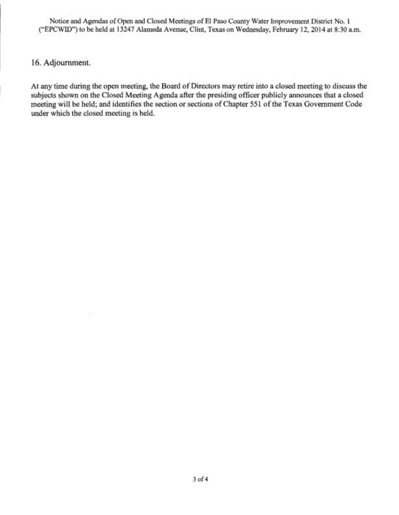Notice **and** Agendas of Open **and** Closed Meetings **of** El Paso County Water Improvement District No. I ("EPCWID") to be held at 13247 Alameda Avenue, Clint, Texas on Wednesday, February 12,2014 at 8:30 a.m.

### <sup>~</sup>**16.** Adjournment.

At any time during the open meeting, the Board of Directors may retire into a closed meeting to discuss the subjects shown on the Closed Meeting Agenda after the presiding officer publicly announces that a closed meeting will be held; and identifies the section or sections of Chapter 551 of the Texas Government Code under which the closed meeting is held.